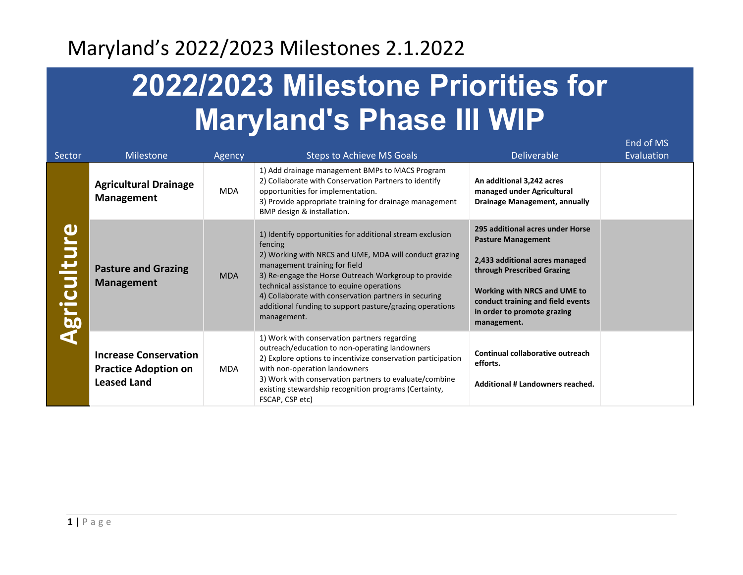# **2022/2023 Milestone Priorities for Maryland's Phase III WIP**

End of MS

| Sector             | <b>Milestone</b>                                                                  | Agency     | <b>Steps to Achieve MS Goals</b>                                                                                                                                                                                                                                                                                                                                                                         | <b>Deliverable</b>                                                                                                                                                                                                                               | Evaluation |
|--------------------|-----------------------------------------------------------------------------------|------------|----------------------------------------------------------------------------------------------------------------------------------------------------------------------------------------------------------------------------------------------------------------------------------------------------------------------------------------------------------------------------------------------------------|--------------------------------------------------------------------------------------------------------------------------------------------------------------------------------------------------------------------------------------------------|------------|
| <b>Agriculture</b> | <b>Agricultural Drainage</b><br>Management                                        | MDA        | 1) Add drainage management BMPs to MACS Program<br>2) Collaborate with Conservation Partners to identify<br>opportunities for implementation.<br>3) Provide appropriate training for drainage management<br>BMP design & installation.                                                                                                                                                                   | An additional 3,242 acres<br>managed under Agricultural<br>Drainage Management, annually                                                                                                                                                         |            |
|                    | <b>Pasture and Grazing</b><br><b>Management</b>                                   | <b>MDA</b> | 1) Identify opportunities for additional stream exclusion<br>fencing<br>2) Working with NRCS and UME, MDA will conduct grazing<br>management training for field<br>3) Re-engage the Horse Outreach Workgroup to provide<br>technical assistance to equine operations<br>4) Collaborate with conservation partners in securing<br>additional funding to support pasture/grazing operations<br>management. | 295 additional acres under Horse<br><b>Pasture Management</b><br>2,433 additional acres managed<br>through Prescribed Grazing<br>Working with NRCS and UME to<br>conduct training and field events<br>in order to promote grazing<br>management. |            |
|                    | <b>Increase Conservation</b><br><b>Practice Adoption on</b><br><b>Leased Land</b> | MDA        | 1) Work with conservation partners regarding<br>outreach/education to non-operating landowners<br>2) Explore options to incentivize conservation participation<br>with non-operation landowners<br>3) Work with conservation partners to evaluate/combine<br>existing stewardship recognition programs (Certainty,<br>FSCAP, CSP etc)                                                                    | Continual collaborative outreach<br>efforts.<br>Additional # Landowners reached.                                                                                                                                                                 |            |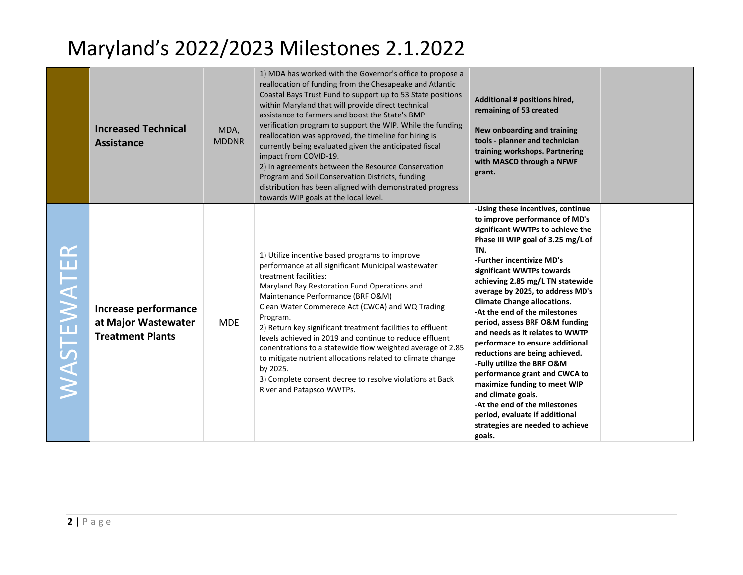|           | <b>Increased Technical</b><br><b>Assistance</b>                        | MDA,<br><b>MDDNR</b> | 1) MDA has worked with the Governor's office to propose a<br>reallocation of funding from the Chesapeake and Atlantic<br>Coastal Bays Trust Fund to support up to 53 State positions<br>within Maryland that will provide direct technical<br>assistance to farmers and boost the State's BMP<br>verification program to support the WIP. While the funding<br>reallocation was approved, the timeline for hiring is<br>currently being evaluated given the anticipated fiscal<br>impact from COVID-19.<br>2) In agreements between the Resource Conservation<br>Program and Soil Conservation Districts, funding<br>distribution has been aligned with demonstrated progress<br>towards WIP goals at the local level. | Additional # positions hired,<br>remaining of 53 created<br>New onboarding and training<br>tools - planner and technician<br>training workshops. Partnering<br>with MASCD through a NFWF<br>grant.                                                                                                                                                                                                                                                                                                                                                                                                                                                                                                                                            |  |
|-----------|------------------------------------------------------------------------|----------------------|------------------------------------------------------------------------------------------------------------------------------------------------------------------------------------------------------------------------------------------------------------------------------------------------------------------------------------------------------------------------------------------------------------------------------------------------------------------------------------------------------------------------------------------------------------------------------------------------------------------------------------------------------------------------------------------------------------------------|-----------------------------------------------------------------------------------------------------------------------------------------------------------------------------------------------------------------------------------------------------------------------------------------------------------------------------------------------------------------------------------------------------------------------------------------------------------------------------------------------------------------------------------------------------------------------------------------------------------------------------------------------------------------------------------------------------------------------------------------------|--|
| NASTEWATI | Increase performance<br>at Major Wastewater<br><b>Treatment Plants</b> | <b>MDE</b>           | 1) Utilize incentive based programs to improve<br>performance at all significant Municipal wastewater<br>treatment facilities:<br>Maryland Bay Restoration Fund Operations and<br>Maintenance Performance (BRF O&M)<br>Clean Water Commerece Act (CWCA) and WQ Trading<br>Program.<br>2) Return key significant treatment facilities to effluent<br>levels achieved in 2019 and continue to reduce effluent<br>conentrations to a statewide flow weighted average of 2.85<br>to mitigate nutrient allocations related to climate change<br>by 2025.<br>3) Complete consent decree to resolve violations at Back<br>River and Patapsco WWTPs.                                                                           | -Using these incentives, continue<br>to improve performance of MD's<br>significant WWTPs to achieve the<br>Phase III WIP goal of 3.25 mg/L of<br>TN.<br>-Further incentivize MD's<br>significant WWTPs towards<br>achieving 2.85 mg/L TN statewide<br>average by 2025, to address MD's<br><b>Climate Change allocations.</b><br>-At the end of the milestones<br>period, assess BRF O&M funding<br>and needs as it relates to WWTP<br>performace to ensure additional<br>reductions are being achieved.<br>-Fully utilize the BRF O&M<br>performance grant and CWCA to<br>maximize funding to meet WIP<br>and climate goals.<br>-At the end of the milestones<br>period, evaluate if additional<br>strategies are needed to achieve<br>goals. |  |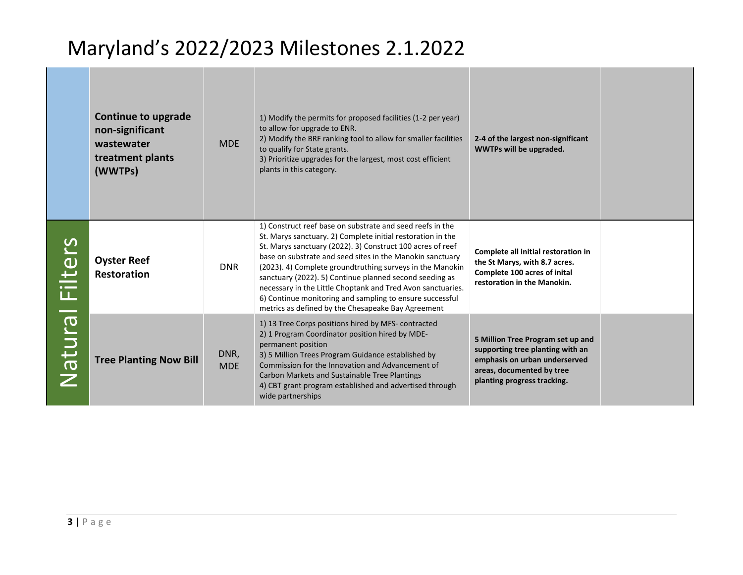|                 | <b>Continue to upgrade</b><br>non-significant<br>wastewater<br>treatment plants<br>(WWTPs) | <b>MDE</b>         | 1) Modify the permits for proposed facilities (1-2 per year)<br>to allow for upgrade to ENR.<br>2) Modify the BRF ranking tool to allow for smaller facilities<br>to qualify for State grants.<br>3) Prioritize upgrades for the largest, most cost efficient<br>plants in this category.                                                                                                                                                                                                                                                                    | 2-4 of the largest non-significant<br>WWTPs will be upgraded.                                                                                                      |
|-----------------|--------------------------------------------------------------------------------------------|--------------------|--------------------------------------------------------------------------------------------------------------------------------------------------------------------------------------------------------------------------------------------------------------------------------------------------------------------------------------------------------------------------------------------------------------------------------------------------------------------------------------------------------------------------------------------------------------|--------------------------------------------------------------------------------------------------------------------------------------------------------------------|
| Natural Filters | <b>Oyster Reef</b><br><b>Restoration</b>                                                   | <b>DNR</b>         | 1) Construct reef base on substrate and seed reefs in the<br>St. Marys sanctuary. 2) Complete initial restoration in the<br>St. Marys sanctuary (2022). 3) Construct 100 acres of reef<br>base on substrate and seed sites in the Manokin sanctuary<br>(2023). 4) Complete groundtruthing surveys in the Manokin<br>sanctuary (2022). 5) Continue planned second seeding as<br>necessary in the Little Choptank and Tred Avon sanctuaries.<br>6) Continue monitoring and sampling to ensure successful<br>metrics as defined by the Chesapeake Bay Agreement | Complete all initial restoration in<br>the St Marys, with 8.7 acres.<br>Complete 100 acres of inital<br>restoration in the Manokin.                                |
|                 | <b>Tree Planting Now Bill</b>                                                              | DNR,<br><b>MDE</b> | 1) 13 Tree Corps positions hired by MFS-contracted<br>2) 1 Program Coordinator position hired by MDE-<br>permanent position<br>3) 5 Million Trees Program Guidance established by<br>Commission for the Innovation and Advancement of<br>Carbon Markets and Sustainable Tree Plantings<br>4) CBT grant program established and advertised through<br>wide partnerships                                                                                                                                                                                       | 5 Million Tree Program set up and<br>supporting tree planting with an<br>emphasis on urban underserved<br>areas, documented by tree<br>planting progress tracking. |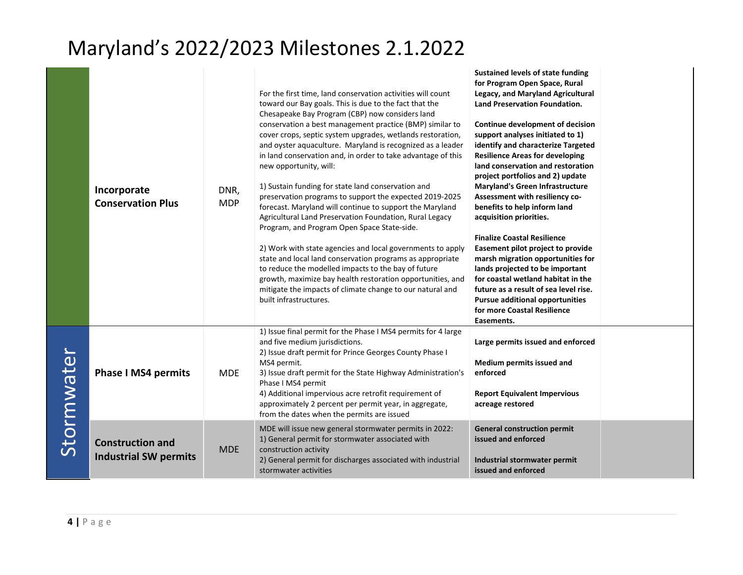|            | Incorporate<br><b>Conservation Plus</b>                 | DNR,<br><b>MDP</b> | For the first time, land conservation activities will count<br>toward our Bay goals. This is due to the fact that the<br>Chesapeake Bay Program (CBP) now considers land<br>conservation a best management practice (BMP) similar to<br>cover crops, septic system upgrades, wetlands restoration,<br>and oyster aquaculture. Maryland is recognized as a leader<br>in land conservation and, in order to take advantage of this<br>new opportunity, will:<br>1) Sustain funding for state land conservation and<br>preservation programs to support the expected 2019-2025<br>forecast. Maryland will continue to support the Maryland<br>Agricultural Land Preservation Foundation, Rural Legacy<br>Program, and Program Open Space State-side.<br>2) Work with state agencies and local governments to apply<br>state and local land conservation programs as appropriate<br>to reduce the modelled impacts to the bay of future<br>growth, maximize bay health restoration opportunities, and<br>mitigate the impacts of climate change to our natural and<br>built infrastructures. | <b>Sustained levels of state funding</b><br>for Program Open Space, Rural<br>Legacy, and Maryland Agricultural<br><b>Land Preservation Foundation.</b><br>Continue development of decision<br>support analyses initiated to 1)<br>identify and characterize Targeted<br><b>Resilience Areas for developing</b><br>land conservation and restoration<br>project portfolios and 2) update<br><b>Maryland's Green Infrastructure</b><br>Assessment with resiliency co-<br>benefits to help inform land<br>acquisition priorities.<br><b>Finalize Coastal Resilience</b><br>Easement pilot project to provide<br>marsh migration opportunities for<br>lands projected to be important<br>for coastal wetland habitat in the<br>future as a result of sea level rise.<br><b>Pursue additional opportunities</b><br>for more Coastal Resilience<br>Easements. |  |
|------------|---------------------------------------------------------|--------------------|------------------------------------------------------------------------------------------------------------------------------------------------------------------------------------------------------------------------------------------------------------------------------------------------------------------------------------------------------------------------------------------------------------------------------------------------------------------------------------------------------------------------------------------------------------------------------------------------------------------------------------------------------------------------------------------------------------------------------------------------------------------------------------------------------------------------------------------------------------------------------------------------------------------------------------------------------------------------------------------------------------------------------------------------------------------------------------------|---------------------------------------------------------------------------------------------------------------------------------------------------------------------------------------------------------------------------------------------------------------------------------------------------------------------------------------------------------------------------------------------------------------------------------------------------------------------------------------------------------------------------------------------------------------------------------------------------------------------------------------------------------------------------------------------------------------------------------------------------------------------------------------------------------------------------------------------------------|--|
| Stormwater | <b>Phase I MS4 permits</b>                              | <b>MDE</b>         | 1) Issue final permit for the Phase I MS4 permits for 4 large<br>and five medium jurisdictions.<br>2) Issue draft permit for Prince Georges County Phase I<br>MS4 permit.<br>3) Issue draft permit for the State Highway Administration's<br>Phase I MS4 permit<br>4) Additional impervious acre retrofit requirement of<br>approximately 2 percent per permit year, in aggregate,<br>from the dates when the permits are issued                                                                                                                                                                                                                                                                                                                                                                                                                                                                                                                                                                                                                                                         | Large permits issued and enforced<br>Medium permits issued and<br>enforced<br><b>Report Equivalent Impervious</b><br>acreage restored                                                                                                                                                                                                                                                                                                                                                                                                                                                                                                                                                                                                                                                                                                                   |  |
|            | <b>Construction and</b><br><b>Industrial SW permits</b> | <b>MDE</b>         | MDE will issue new general stormwater permits in 2022:<br>1) General permit for stormwater associated with<br>construction activity<br>2) General permit for discharges associated with industrial<br>stormwater activities                                                                                                                                                                                                                                                                                                                                                                                                                                                                                                                                                                                                                                                                                                                                                                                                                                                              | <b>General construction permit</b><br>issued and enforced<br>Industrial stormwater permit<br>issued and enforced                                                                                                                                                                                                                                                                                                                                                                                                                                                                                                                                                                                                                                                                                                                                        |  |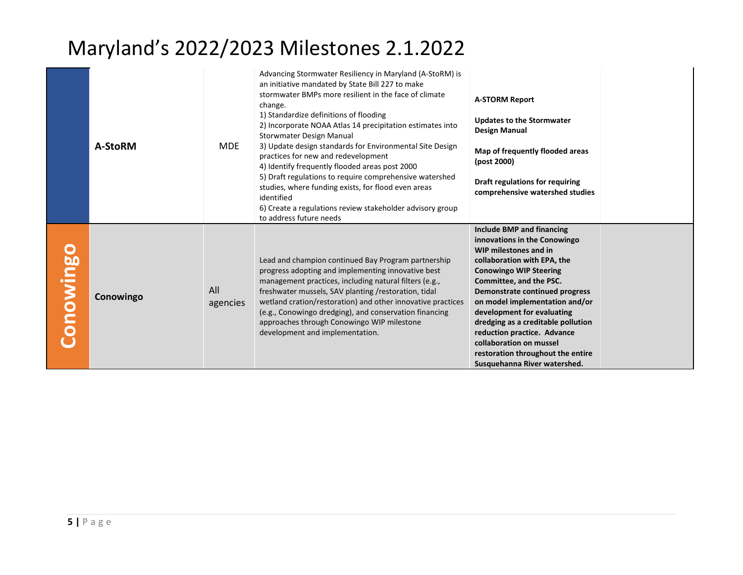|           | A-StoRM   | <b>MDE</b>      | Advancing Stormwater Resiliency in Maryland (A-StoRM) is<br>an initiative mandated by State Bill 227 to make<br>stormwater BMPs more resilient in the face of climate<br>change.<br>1) Standardize definitions of flooding<br>2) Incorporate NOAA Atlas 14 precipitation estimates into<br>Storwmater Design Manual<br>3) Update design standards for Environmental Site Design<br>practices for new and redevelopment<br>4) Identify frequently flooded areas post 2000<br>5) Draft regulations to require comprehensive watershed<br>studies, where funding exists, for flood even areas<br>identified<br>6) Create a regulations review stakeholder advisory group<br>to address future needs | <b>A-STORM Report</b><br><b>Updates to the Stormwater</b><br>Design Manual<br>Map of frequently flooded areas<br>(post 2000)<br>Draft regulations for requiring<br>comprehensive watershed studies                                                                                                                                                                                                                                                          |
|-----------|-----------|-----------------|--------------------------------------------------------------------------------------------------------------------------------------------------------------------------------------------------------------------------------------------------------------------------------------------------------------------------------------------------------------------------------------------------------------------------------------------------------------------------------------------------------------------------------------------------------------------------------------------------------------------------------------------------------------------------------------------------|-------------------------------------------------------------------------------------------------------------------------------------------------------------------------------------------------------------------------------------------------------------------------------------------------------------------------------------------------------------------------------------------------------------------------------------------------------------|
| Conowingo | Conowingo | All<br>agencies | Lead and champion continued Bay Program partnership<br>progress adopting and implementing innovative best<br>management practices, including natural filters (e.g.,<br>freshwater mussels, SAV planting /restoration, tidal<br>wetland cration/restoration) and other innovative practices<br>(e.g., Conowingo dredging), and conservation financing<br>approaches through Conowingo WIP milestone<br>development and implementation.                                                                                                                                                                                                                                                            | Include BMP and financing<br>innovations in the Conowingo<br>WIP milestones and in<br>collaboration with EPA, the<br><b>Conowingo WIP Steering</b><br>Committee, and the PSC.<br><b>Demonstrate continued progress</b><br>on model implementation and/or<br>development for evaluating<br>dredging as a creditable pollution<br>reduction practice. Advance<br>collaboration on mussel<br>restoration throughout the entire<br>Susquehanna River watershed. |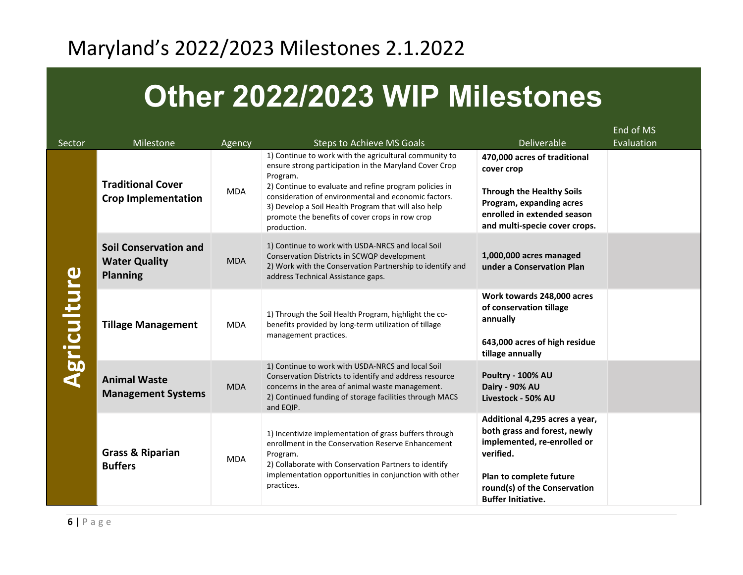# **Other 2022/2023 WIP Milestones**

|                    |                                                                         |            |                                                                                                                                                                                                                                                                                                                                                                          |                                                                                                                                                                                                    | End of MS  |
|--------------------|-------------------------------------------------------------------------|------------|--------------------------------------------------------------------------------------------------------------------------------------------------------------------------------------------------------------------------------------------------------------------------------------------------------------------------------------------------------------------------|----------------------------------------------------------------------------------------------------------------------------------------------------------------------------------------------------|------------|
| Sector             | Milestone                                                               | Agency     | <b>Steps to Achieve MS Goals</b>                                                                                                                                                                                                                                                                                                                                         | <b>Deliverable</b>                                                                                                                                                                                 | Evaluation |
|                    | <b>Traditional Cover</b><br><b>Crop Implementation</b>                  | <b>MDA</b> | 1) Continue to work with the agricultural community to<br>ensure strong participation in the Maryland Cover Crop<br>Program.<br>2) Continue to evaluate and refine program policies in<br>consideration of environmental and economic factors.<br>3) Develop a Soil Health Program that will also help<br>promote the benefits of cover crops in row crop<br>production. | 470,000 acres of traditional<br>cover crop<br><b>Through the Healthy Soils</b><br>Program, expanding acres<br>enrolled in extended season<br>and multi-specie cover crops.                         |            |
|                    | <b>Soil Conservation and</b><br><b>Water Quality</b><br><b>Planning</b> | <b>MDA</b> | 1) Continue to work with USDA-NRCS and local Soil<br>Conservation Districts in SCWQP development<br>2) Work with the Conservation Partnership to identify and<br>address Technical Assistance gaps.                                                                                                                                                                      | 1,000,000 acres managed<br>under a Conservation Plan                                                                                                                                               |            |
| <b>Agriculture</b> | <b>Tillage Management</b>                                               | <b>MDA</b> | 1) Through the Soil Health Program, highlight the co-<br>benefits provided by long-term utilization of tillage<br>management practices.                                                                                                                                                                                                                                  | Work towards 248,000 acres<br>of conservation tillage<br>annually<br>643,000 acres of high residue<br>tillage annually                                                                             |            |
|                    | <b>Animal Waste</b><br><b>Management Systems</b>                        | <b>MDA</b> | 1) Continue to work with USDA-NRCS and local Soil<br>Conservation Districts to identify and address resource<br>concerns in the area of animal waste management.<br>2) Continued funding of storage facilities through MACS<br>and EQIP.                                                                                                                                 | Poultry - 100% AU<br>Dairy - 90% AU<br>Livestock - 50% AU                                                                                                                                          |            |
|                    | <b>Grass &amp; Riparian</b><br><b>Buffers</b>                           | <b>MDA</b> | 1) Incentivize implementation of grass buffers through<br>enrollment in the Conservation Reserve Enhancement<br>Program.<br>2) Collaborate with Conservation Partners to identify<br>implementation opportunities in conjunction with other<br>practices.                                                                                                                | Additional 4,295 acres a year,<br>both grass and forest, newly<br>implemented, re-enrolled or<br>verified.<br>Plan to complete future<br>round(s) of the Conservation<br><b>Buffer Initiative.</b> |            |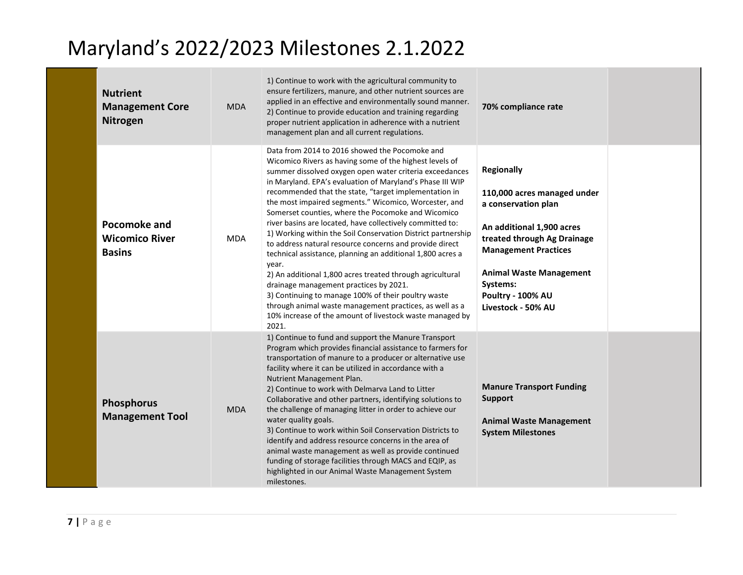| <b>Nutrient</b><br><b>Management Core</b><br>Nitrogen  | <b>MDA</b> | 1) Continue to work with the agricultural community to<br>ensure fertilizers, manure, and other nutrient sources are<br>applied in an effective and environmentally sound manner.<br>2) Continue to provide education and training regarding<br>proper nutrient application in adherence with a nutrient<br>management plan and all current regulations.                                                                                                                                                                                                                                                                                                                                                                                                                                                                                                                                                                                                               | 70% compliance rate                                                                                                                                                                                                                                         |  |
|--------------------------------------------------------|------------|------------------------------------------------------------------------------------------------------------------------------------------------------------------------------------------------------------------------------------------------------------------------------------------------------------------------------------------------------------------------------------------------------------------------------------------------------------------------------------------------------------------------------------------------------------------------------------------------------------------------------------------------------------------------------------------------------------------------------------------------------------------------------------------------------------------------------------------------------------------------------------------------------------------------------------------------------------------------|-------------------------------------------------------------------------------------------------------------------------------------------------------------------------------------------------------------------------------------------------------------|--|
| Pocomoke and<br><b>Wicomico River</b><br><b>Basins</b> | <b>MDA</b> | Data from 2014 to 2016 showed the Pocomoke and<br>Wicomico Rivers as having some of the highest levels of<br>summer dissolved oxygen open water criteria exceedances<br>in Maryland. EPA's evaluation of Maryland's Phase III WIP<br>recommended that the state, "target implementation in<br>the most impaired segments." Wicomico, Worcester, and<br>Somerset counties, where the Pocomoke and Wicomico<br>river basins are located, have collectively committed to:<br>1) Working within the Soil Conservation District partnership<br>to address natural resource concerns and provide direct<br>technical assistance, planning an additional 1,800 acres a<br>year.<br>2) An additional 1,800 acres treated through agricultural<br>drainage management practices by 2021.<br>3) Continuing to manage 100% of their poultry waste<br>through animal waste management practices, as well as a<br>10% increase of the amount of livestock waste managed by<br>2021. | <b>Regionally</b><br>110,000 acres managed under<br>a conservation plan<br>An additional 1,900 acres<br>treated through Ag Drainage<br><b>Management Practices</b><br><b>Animal Waste Management</b><br>Systems:<br>Poultry - 100% AU<br>Livestock - 50% AU |  |
| Phosphorus<br><b>Management Tool</b>                   | <b>MDA</b> | 1) Continue to fund and support the Manure Transport<br>Program which provides financial assistance to farmers for<br>transportation of manure to a producer or alternative use<br>facility where it can be utilized in accordance with a<br>Nutrient Management Plan.<br>2) Continue to work with Delmarva Land to Litter<br>Collaborative and other partners, identifying solutions to<br>the challenge of managing litter in order to achieve our<br>water quality goals.<br>3) Continue to work within Soil Conservation Districts to<br>identify and address resource concerns in the area of<br>animal waste management as well as provide continued<br>funding of storage facilities through MACS and EQIP, as<br>highlighted in our Animal Waste Management System<br>milestones.                                                                                                                                                                              | <b>Manure Transport Funding</b><br><b>Support</b><br><b>Animal Waste Management</b><br><b>System Milestones</b>                                                                                                                                             |  |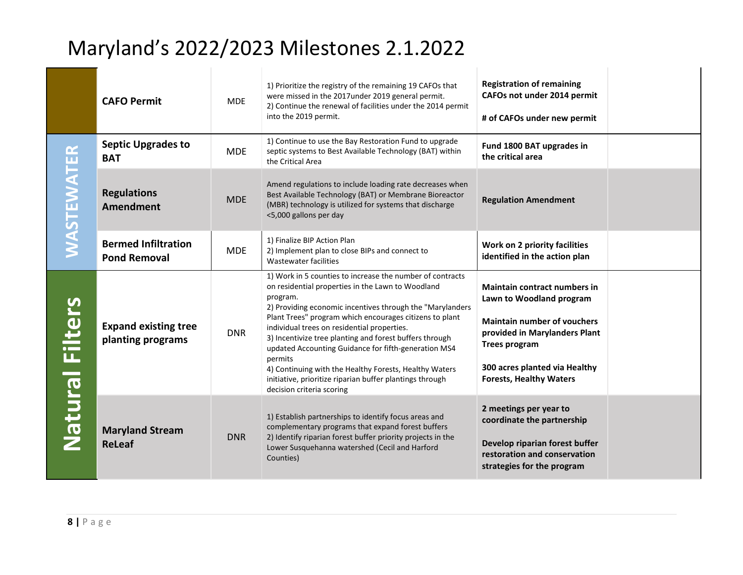|                        | <b>CAFO Permit</b>                                | <b>MDE</b> | 1) Prioritize the registry of the remaining 19 CAFOs that<br>were missed in the 2017under 2019 general permit.<br>2) Continue the renewal of facilities under the 2014 permit<br>into the 2019 permit.                                                                                                                                                                                                                                                                                                                                                                             | <b>Registration of remaining</b><br>CAFOs not under 2014 permit<br># of CAFOs under new permit                                                                                                                                    |
|------------------------|---------------------------------------------------|------------|------------------------------------------------------------------------------------------------------------------------------------------------------------------------------------------------------------------------------------------------------------------------------------------------------------------------------------------------------------------------------------------------------------------------------------------------------------------------------------------------------------------------------------------------------------------------------------|-----------------------------------------------------------------------------------------------------------------------------------------------------------------------------------------------------------------------------------|
|                        | <b>Septic Upgrades to</b><br><b>BAT</b>           | <b>MDE</b> | 1) Continue to use the Bay Restoration Fund to upgrade<br>septic systems to Best Available Technology (BAT) within<br>the Critical Area                                                                                                                                                                                                                                                                                                                                                                                                                                            | Fund 1800 BAT upgrades in<br>the critical area                                                                                                                                                                                    |
| <b>WASTEWATER</b>      | <b>Regulations</b><br><b>Amendment</b>            | <b>MDE</b> | Amend regulations to include loading rate decreases when<br>Best Available Technology (BAT) or Membrane Bioreactor<br>(MBR) technology is utilized for systems that discharge<br><5,000 gallons per day                                                                                                                                                                                                                                                                                                                                                                            | <b>Regulation Amendment</b>                                                                                                                                                                                                       |
|                        | <b>Bermed Infiltration</b><br><b>Pond Removal</b> | <b>MDE</b> | 1) Finalize BIP Action Plan<br>2) Implement plan to close BIPs and connect to<br>Wastewater facilities                                                                                                                                                                                                                                                                                                                                                                                                                                                                             | Work on 2 priority facilities<br>identified in the action plan                                                                                                                                                                    |
| <b>Natural Filters</b> | <b>Expand existing tree</b><br>planting programs  | <b>DNR</b> | 1) Work in 5 counties to increase the number of contracts<br>on residential properties in the Lawn to Woodland<br>program.<br>2) Providing economic incentives through the "Marylanders<br>Plant Trees" program which encourages citizens to plant<br>individual trees on residential properties.<br>3) Incentivize tree planting and forest buffers through<br>updated Accounting Guidance for fifth-generation MS4<br>permits<br>4) Continuing with the Healthy Forests, Healthy Waters<br>initiative, prioritize riparian buffer plantings through<br>decision criteria scoring | <b>Maintain contract numbers in</b><br>Lawn to Woodland program<br><b>Maintain number of vouchers</b><br>provided in Marylanders Plant<br><b>Trees program</b><br>300 acres planted via Healthy<br><b>Forests, Healthy Waters</b> |
|                        | <b>Maryland Stream</b><br><b>ReLeaf</b>           | <b>DNR</b> | 1) Establish partnerships to identify focus areas and<br>complementary programs that expand forest buffers<br>2) Identify riparian forest buffer priority projects in the<br>Lower Susquehanna watershed (Cecil and Harford<br>Counties)                                                                                                                                                                                                                                                                                                                                           | 2 meetings per year to<br>coordinate the partnership<br>Develop riparian forest buffer<br>restoration and conservation<br>strategies for the program                                                                              |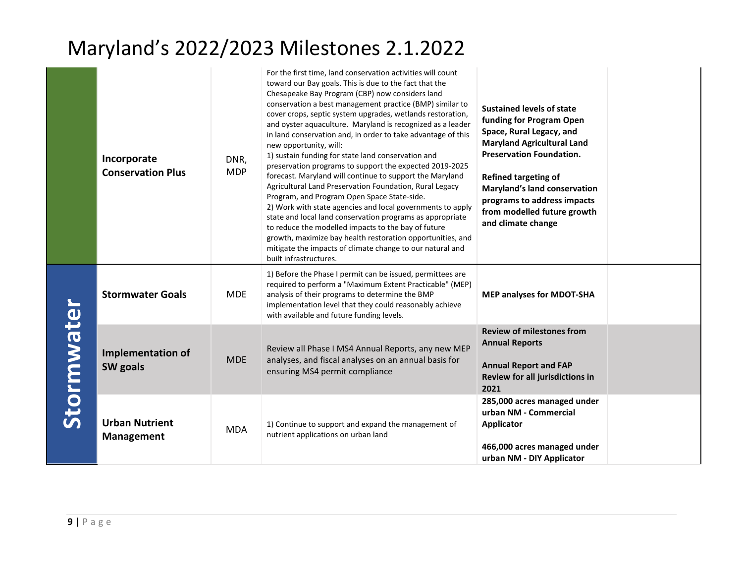|            | Incorporate<br><b>Conservation Plus</b>    | DNR,<br><b>MDP</b> | For the first time, land conservation activities will count<br>toward our Bay goals. This is due to the fact that the<br>Chesapeake Bay Program (CBP) now considers land<br>conservation a best management practice (BMP) similar to<br>cover crops, septic system upgrades, wetlands restoration,<br>and oyster aquaculture. Maryland is recognized as a leader<br>in land conservation and, in order to take advantage of this<br>new opportunity, will:<br>1) sustain funding for state land conservation and<br>preservation programs to support the expected 2019-2025<br>forecast. Maryland will continue to support the Maryland<br>Agricultural Land Preservation Foundation, Rural Legacy<br>Program, and Program Open Space State-side.<br>2) Work with state agencies and local governments to apply<br>state and local land conservation programs as appropriate<br>to reduce the modelled impacts to the bay of future<br>growth, maximize bay health restoration opportunities, and<br>mitigate the impacts of climate change to our natural and<br>built infrastructures. | <b>Sustained levels of state</b><br>funding for Program Open<br>Space, Rural Legacy, and<br><b>Maryland Agricultural Land</b><br><b>Preservation Foundation.</b><br><b>Refined targeting of</b><br>Maryland's land conservation<br>programs to address impacts<br>from modelled future growth<br>and climate change |
|------------|--------------------------------------------|--------------------|------------------------------------------------------------------------------------------------------------------------------------------------------------------------------------------------------------------------------------------------------------------------------------------------------------------------------------------------------------------------------------------------------------------------------------------------------------------------------------------------------------------------------------------------------------------------------------------------------------------------------------------------------------------------------------------------------------------------------------------------------------------------------------------------------------------------------------------------------------------------------------------------------------------------------------------------------------------------------------------------------------------------------------------------------------------------------------------|---------------------------------------------------------------------------------------------------------------------------------------------------------------------------------------------------------------------------------------------------------------------------------------------------------------------|
| Stormwater | <b>Stormwater Goals</b>                    | <b>MDE</b>         | 1) Before the Phase I permit can be issued, permittees are<br>required to perform a "Maximum Extent Practicable" (MEP)<br>analysis of their programs to determine the BMP<br>implementation level that they could reasonably achieve<br>with available and future funding levels.                                                                                                                                                                                                                                                                                                                                                                                                                                                                                                                                                                                                                                                                                                                                                                                                        | <b>MEP analyses for MDOT-SHA</b>                                                                                                                                                                                                                                                                                    |
|            | <b>Implementation of</b><br>SW goals       | <b>MDE</b>         | Review all Phase I MS4 Annual Reports, any new MEP<br>analyses, and fiscal analyses on an annual basis for<br>ensuring MS4 permit compliance                                                                                                                                                                                                                                                                                                                                                                                                                                                                                                                                                                                                                                                                                                                                                                                                                                                                                                                                             | <b>Review of milestones from</b><br><b>Annual Reports</b><br><b>Annual Report and FAP</b><br>Review for all jurisdictions in<br>2021                                                                                                                                                                                |
|            | <b>Urban Nutrient</b><br><b>Management</b> | <b>MDA</b>         | 1) Continue to support and expand the management of<br>nutrient applications on urban land                                                                                                                                                                                                                                                                                                                                                                                                                                                                                                                                                                                                                                                                                                                                                                                                                                                                                                                                                                                               | 285,000 acres managed under<br>urban NM - Commercial<br><b>Applicator</b><br>466,000 acres managed under<br>urban NM - DIY Applicator                                                                                                                                                                               |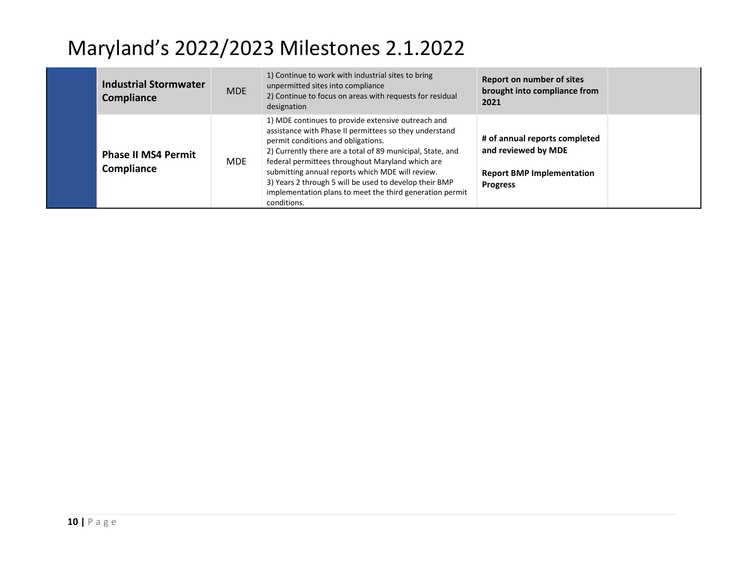| <b>Industrial Stormwater</b><br>Compliance | <b>MDE</b> | 1) Continue to work with industrial sites to bring<br>unpermitted sites into compliance<br>2) Continue to focus on areas with requests for residual<br>designation                                                                                                                                                                                                                                                                                            | <b>Report on number of sites</b><br>brought into compliance from<br>2021                                    |  |
|--------------------------------------------|------------|---------------------------------------------------------------------------------------------------------------------------------------------------------------------------------------------------------------------------------------------------------------------------------------------------------------------------------------------------------------------------------------------------------------------------------------------------------------|-------------------------------------------------------------------------------------------------------------|--|
| <b>Phase II MS4 Permit</b><br>Compliance   | <b>MDE</b> | 1) MDE continues to provide extensive outreach and<br>assistance with Phase II permittees so they understand<br>permit conditions and obligations.<br>2) Currently there are a total of 89 municipal, State, and<br>federal permittees throughout Maryland which are<br>submitting annual reports which MDE will review.<br>3) Years 2 through 5 will be used to develop their BMP<br>implementation plans to meet the third generation permit<br>conditions. | # of annual reports completed<br>and reviewed by MDE<br><b>Report BMP Implementation</b><br><b>Progress</b> |  |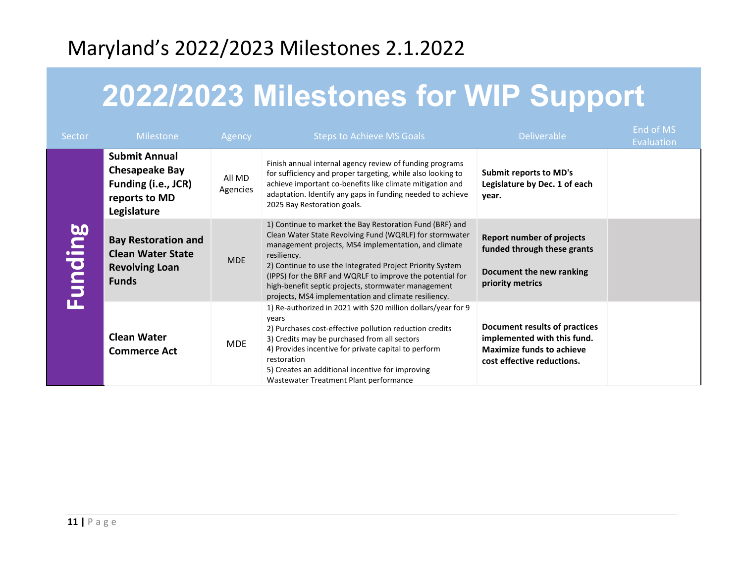# **2022/2023 Milestones for WIP Support**

| Sector         | <b>Milestone</b>                                                                                     | Agency             | <b>Steps to Achieve MS Goals</b>                                                                                                                                                                                                                                                                                                                                                                                                    | <b>Deliverable</b>                                                                                                             | End of MS<br>Evaluation |
|----------------|------------------------------------------------------------------------------------------------------|--------------------|-------------------------------------------------------------------------------------------------------------------------------------------------------------------------------------------------------------------------------------------------------------------------------------------------------------------------------------------------------------------------------------------------------------------------------------|--------------------------------------------------------------------------------------------------------------------------------|-------------------------|
|                | <b>Submit Annual</b><br><b>Chesapeake Bay</b><br>Funding (i.e., JCR)<br>reports to MD<br>Legislature | All MD<br>Agencies | Finish annual internal agency review of funding programs<br>for sufficiency and proper targeting, while also looking to<br>achieve important co-benefits like climate mitigation and<br>adaptation. Identify any gaps in funding needed to achieve<br>2025 Bay Restoration goals.                                                                                                                                                   | <b>Submit reports to MD's</b><br>Legislature by Dec. 1 of each<br>year.                                                        |                         |
| <b>Funding</b> | <b>Bay Restoration and</b><br><b>Clean Water State</b><br><b>Revolving Loan</b><br><b>Funds</b>      | <b>MDE</b>         | 1) Continue to market the Bay Restoration Fund (BRF) and<br>Clean Water State Revolving Fund (WQRLF) for stormwater<br>management projects, MS4 implementation, and climate<br>resiliency.<br>2) Continue to use the Integrated Project Priority System<br>(IPPS) for the BRF and WQRLF to improve the potential for<br>high-benefit septic projects, stormwater management<br>projects, MS4 implementation and climate resiliency. | <b>Report number of projects</b><br>funded through these grants<br>Document the new ranking<br>priority metrics                |                         |
|                | <b>Clean Water</b><br><b>Commerce Act</b>                                                            | <b>MDE</b>         | 1) Re-authorized in 2021 with \$20 million dollars/year for 9<br>years<br>2) Purchases cost-effective pollution reduction credits<br>3) Credits may be purchased from all sectors<br>4) Provides incentive for private capital to perform<br>restoration<br>5) Creates an additional incentive for improving<br>Wastewater Treatment Plant performance                                                                              | Document results of practices<br>implemented with this fund.<br><b>Maximize funds to achieve</b><br>cost effective reductions. |                         |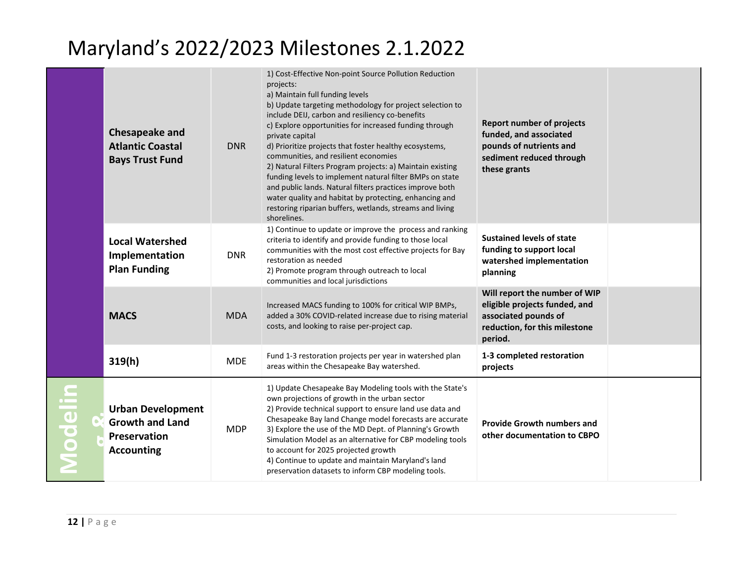|         | <b>Chesapeake and</b><br><b>Atlantic Coastal</b><br><b>Bays Trust Fund</b>              | <b>DNR</b> | 1) Cost-Effective Non-point Source Pollution Reduction<br>projects:<br>a) Maintain full funding levels<br>b) Update targeting methodology for project selection to<br>include DEIJ, carbon and resiliency co-benefits<br>c) Explore opportunities for increased funding through<br>private capital<br>d) Prioritize projects that foster healthy ecosystems,<br>communities, and resilient economies<br>2) Natural Filters Program projects: a) Maintain existing<br>funding levels to implement natural filter BMPs on state<br>and public lands. Natural filters practices improve both<br>water quality and habitat by protecting, enhancing and<br>restoring riparian buffers, wetlands, streams and living<br>shorelines. | <b>Report number of projects</b><br>funded, and associated<br>pounds of nutrients and<br>sediment reduced through<br>these grants  |  |
|---------|-----------------------------------------------------------------------------------------|------------|--------------------------------------------------------------------------------------------------------------------------------------------------------------------------------------------------------------------------------------------------------------------------------------------------------------------------------------------------------------------------------------------------------------------------------------------------------------------------------------------------------------------------------------------------------------------------------------------------------------------------------------------------------------------------------------------------------------------------------|------------------------------------------------------------------------------------------------------------------------------------|--|
|         | <b>Local Watershed</b><br>Implementation<br><b>Plan Funding</b>                         | <b>DNR</b> | 1) Continue to update or improve the process and ranking<br>criteria to identify and provide funding to those local<br>communities with the most cost effective projects for Bay<br>restoration as needed<br>2) Promote program through outreach to local<br>communities and local jurisdictions                                                                                                                                                                                                                                                                                                                                                                                                                               | <b>Sustained levels of state</b><br>funding to support local<br>watershed implementation<br>planning                               |  |
|         | <b>MACS</b>                                                                             | <b>MDA</b> | Increased MACS funding to 100% for critical WIP BMPs,<br>added a 30% COVID-related increase due to rising material<br>costs, and looking to raise per-project cap.                                                                                                                                                                                                                                                                                                                                                                                                                                                                                                                                                             | Will report the number of WIP<br>eligible projects funded, and<br>associated pounds of<br>reduction, for this milestone<br>period. |  |
|         | 319(h)                                                                                  | <b>MDE</b> | Fund 1-3 restoration projects per year in watershed plan<br>areas within the Chesapeake Bay watershed.                                                                                                                                                                                                                                                                                                                                                                                                                                                                                                                                                                                                                         | 1-3 completed restoration<br>projects                                                                                              |  |
| Modelin | <b>Urban Development</b><br><b>Growth and Land</b><br>Preservation<br><b>Accounting</b> | <b>MDP</b> | 1) Update Chesapeake Bay Modeling tools with the State's<br>own projections of growth in the urban sector<br>2) Provide technical support to ensure land use data and<br>Chesapeake Bay land Change model forecasts are accurate<br>3) Explore the use of the MD Dept. of Planning's Growth<br>Simulation Model as an alternative for CBP modeling tools<br>to account for 2025 projected growth<br>4) Continue to update and maintain Maryland's land<br>preservation datasets to inform CBP modeling tools.                                                                                                                                                                                                                  | <b>Provide Growth numbers and</b><br>other documentation to CBPO                                                                   |  |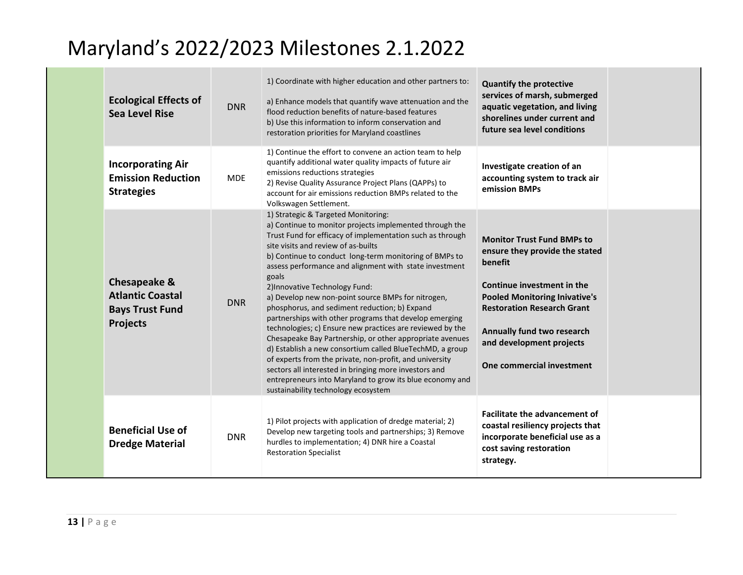| <b>Ecological Effects of</b><br><b>Sea Level Rise</b>                                           | <b>DNR</b> | 1) Coordinate with higher education and other partners to:<br>a) Enhance models that quantify wave attenuation and the<br>flood reduction benefits of nature-based features<br>b) Use this information to inform conservation and<br>restoration priorities for Maryland coastlines                                                                                                                                                                                                                                                                                                                                                                                                                                                                                                                                                                                                                                                            | <b>Quantify the protective</b><br>services of marsh, submerged<br>aquatic vegetation, and living<br>shorelines under current and<br>future sea level conditions                                                                                                                  |  |
|-------------------------------------------------------------------------------------------------|------------|------------------------------------------------------------------------------------------------------------------------------------------------------------------------------------------------------------------------------------------------------------------------------------------------------------------------------------------------------------------------------------------------------------------------------------------------------------------------------------------------------------------------------------------------------------------------------------------------------------------------------------------------------------------------------------------------------------------------------------------------------------------------------------------------------------------------------------------------------------------------------------------------------------------------------------------------|----------------------------------------------------------------------------------------------------------------------------------------------------------------------------------------------------------------------------------------------------------------------------------|--|
| <b>Incorporating Air</b><br><b>Emission Reduction</b><br><b>Strategies</b>                      | <b>MDE</b> | 1) Continue the effort to convene an action team to help<br>quantify additional water quality impacts of future air<br>emissions reductions strategies<br>2) Revise Quality Assurance Project Plans (QAPPs) to<br>account for air emissions reduction BMPs related to the<br>Volkswagen Settlement.                                                                                                                                                                                                                                                                                                                                                                                                                                                                                                                                                                                                                                            | Investigate creation of an<br>accounting system to track air<br>emission BMPs                                                                                                                                                                                                    |  |
| <b>Chesapeake &amp;</b><br><b>Atlantic Coastal</b><br><b>Bays Trust Fund</b><br><b>Projects</b> | <b>DNR</b> | 1) Strategic & Targeted Monitoring:<br>a) Continue to monitor projects implemented through the<br>Trust Fund for efficacy of implementation such as through<br>site visits and review of as-builts<br>b) Continue to conduct long-term monitoring of BMPs to<br>assess performance and alignment with state investment<br>goals<br>2) Innovative Technology Fund:<br>a) Develop new non-point source BMPs for nitrogen,<br>phosphorus, and sediment reduction; b) Expand<br>partnerships with other programs that develop emerging<br>technologies; c) Ensure new practices are reviewed by the<br>Chesapeake Bay Partnership, or other appropriate avenues<br>d) Establish a new consortium called BlueTechMD, a group<br>of experts from the private, non-profit, and university<br>sectors all interested in bringing more investors and<br>entrepreneurs into Maryland to grow its blue economy and<br>sustainability technology ecosystem | <b>Monitor Trust Fund BMPs to</b><br>ensure they provide the stated<br>benefit<br>Continue investment in the<br><b>Pooled Monitoring Inivative's</b><br><b>Restoration Research Grant</b><br>Annually fund two research<br>and development projects<br>One commercial investment |  |
| <b>Beneficial Use of</b><br><b>Dredge Material</b>                                              | <b>DNR</b> | 1) Pilot projects with application of dredge material; 2)<br>Develop new targeting tools and partnerships; 3) Remove<br>hurdles to implementation; 4) DNR hire a Coastal<br><b>Restoration Specialist</b>                                                                                                                                                                                                                                                                                                                                                                                                                                                                                                                                                                                                                                                                                                                                      | <b>Facilitate the advancement of</b><br>coastal resiliency projects that<br>incorporate beneficial use as a<br>cost saving restoration<br>strategy.                                                                                                                              |  |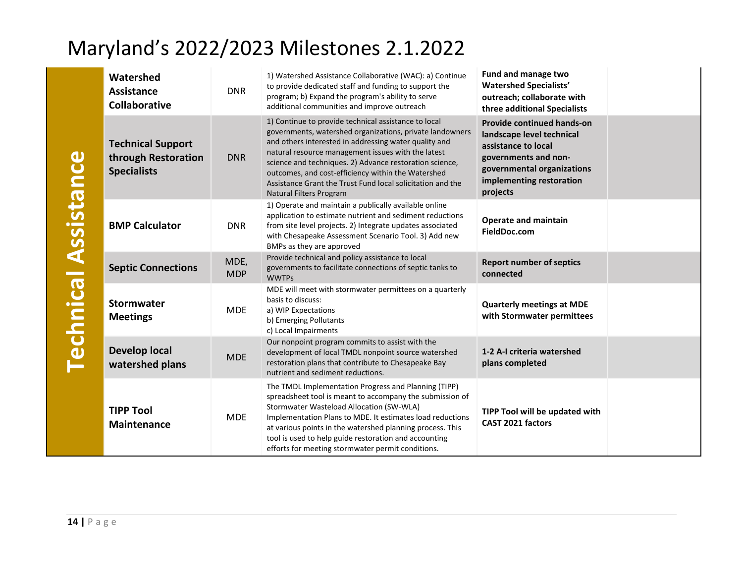|                             | Watershed<br><b>Assistance</b><br><b>Collaborative</b>                | <b>DNR</b>         | 1) Watershed Assistance Collaborative (WAC): a) Continue<br>to provide dedicated staff and funding to support the<br>program; b) Expand the program's ability to serve<br>additional communities and improve outreach                                                                                                                                                                                                                     | Fund and manage two<br><b>Watershed Specialists'</b><br>outreach; collaborate with<br>three additional Specialists                                                           |  |
|-----------------------------|-----------------------------------------------------------------------|--------------------|-------------------------------------------------------------------------------------------------------------------------------------------------------------------------------------------------------------------------------------------------------------------------------------------------------------------------------------------------------------------------------------------------------------------------------------------|------------------------------------------------------------------------------------------------------------------------------------------------------------------------------|--|
|                             | <b>Technical Support</b><br>through Restoration<br><b>Specialists</b> | <b>DNR</b>         | 1) Continue to provide technical assistance to local<br>governments, watershed organizations, private landowners<br>and others interested in addressing water quality and<br>natural resource management issues with the latest<br>science and techniques. 2) Advance restoration science,<br>outcomes, and cost-efficiency within the Watershed<br>Assistance Grant the Trust Fund local solicitation and the<br>Natural Filters Program | Provide continued hands-on<br>landscape level technical<br>assistance to local<br>governments and non-<br>governmental organizations<br>implementing restoration<br>projects |  |
|                             | <b>BMP Calculator</b>                                                 | <b>DNR</b>         | 1) Operate and maintain a publically available online<br>application to estimate nutrient and sediment reductions<br>from site level projects. 2) Integrate updates associated<br>with Chesapeake Assessment Scenario Tool. 3) Add new<br>BMPs as they are approved                                                                                                                                                                       | <b>Operate and maintain</b><br>FieldDoc.com                                                                                                                                  |  |
|                             | <b>Septic Connections</b>                                             | MDE,<br><b>MDP</b> | Provide technical and policy assistance to local<br>governments to facilitate connections of septic tanks to<br><b>WWTPs</b>                                                                                                                                                                                                                                                                                                              | <b>Report number of septics</b><br>connected                                                                                                                                 |  |
| <b>Technical Assistance</b> | <b>Stormwater</b><br><b>Meetings</b>                                  | <b>MDE</b>         | MDE will meet with stormwater permittees on a quarterly<br>basis to discuss:<br>a) WIP Expectations<br>b) Emerging Pollutants<br>c) Local Impairments                                                                                                                                                                                                                                                                                     | <b>Quarterly meetings at MDE</b><br>with Stormwater permittees                                                                                                               |  |
|                             | <b>Develop local</b><br>watershed plans                               | <b>MDE</b>         | Our nonpoint program commits to assist with the<br>development of local TMDL nonpoint source watershed<br>restoration plans that contribute to Chesapeake Bay<br>nutrient and sediment reductions.                                                                                                                                                                                                                                        | 1-2 A-I criteria watershed<br>plans completed                                                                                                                                |  |
|                             | <b>TIPP Tool</b><br>Maintenance                                       | <b>MDE</b>         | The TMDL Implementation Progress and Planning (TIPP)<br>spreadsheet tool is meant to accompany the submission of<br>Stormwater Wasteload Allocation (SW-WLA)<br>Implementation Plans to MDE. It estimates load reductions<br>at various points in the watershed planning process. This<br>tool is used to help guide restoration and accounting<br>efforts for meeting stormwater permit conditions.                                      | TIPP Tool will be updated with<br>CAST 2021 factors                                                                                                                          |  |
| $14$   Page                 |                                                                       |                    |                                                                                                                                                                                                                                                                                                                                                                                                                                           |                                                                                                                                                                              |  |

**Technical Assistance**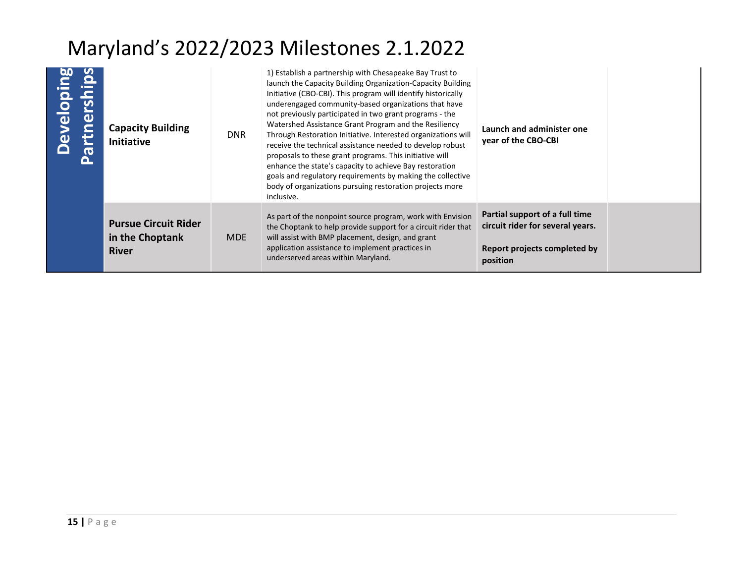| Developing<br>Partnerships | <b>Capacity Building</b><br><b>Initiative</b>                  | <b>DNR</b> | 1) Establish a partnership with Chesapeake Bay Trust to<br>launch the Capacity Building Organization-Capacity Building<br>Initiative (CBO-CBI). This program will identify historically<br>underengaged community-based organizations that have<br>not previously participated in two grant programs - the<br>Watershed Assistance Grant Program and the Resiliency<br>Through Restoration Initiative. Interested organizations will<br>receive the technical assistance needed to develop robust<br>proposals to these grant programs. This initiative will<br>enhance the state's capacity to achieve Bay restoration<br>goals and regulatory requirements by making the collective<br>body of organizations pursuing restoration projects more<br>inclusive. | Launch and administer one<br>year of the CBO-CBI                                                               |  |
|----------------------------|----------------------------------------------------------------|------------|-----------------------------------------------------------------------------------------------------------------------------------------------------------------------------------------------------------------------------------------------------------------------------------------------------------------------------------------------------------------------------------------------------------------------------------------------------------------------------------------------------------------------------------------------------------------------------------------------------------------------------------------------------------------------------------------------------------------------------------------------------------------|----------------------------------------------------------------------------------------------------------------|--|
|                            | <b>Pursue Circuit Rider</b><br>in the Choptank<br><b>River</b> | <b>MDE</b> | As part of the nonpoint source program, work with Envision<br>the Choptank to help provide support for a circuit rider that<br>will assist with BMP placement, design, and grant<br>application assistance to implement practices in<br>underserved areas within Maryland.                                                                                                                                                                                                                                                                                                                                                                                                                                                                                      | Partial support of a full time<br>circuit rider for several years.<br>Report projects completed by<br>position |  |
|                            |                                                                |            |                                                                                                                                                                                                                                                                                                                                                                                                                                                                                                                                                                                                                                                                                                                                                                 |                                                                                                                |  |
|                            |                                                                |            |                                                                                                                                                                                                                                                                                                                                                                                                                                                                                                                                                                                                                                                                                                                                                                 |                                                                                                                |  |
|                            |                                                                |            |                                                                                                                                                                                                                                                                                                                                                                                                                                                                                                                                                                                                                                                                                                                                                                 |                                                                                                                |  |
| $15$   Page                |                                                                |            |                                                                                                                                                                                                                                                                                                                                                                                                                                                                                                                                                                                                                                                                                                                                                                 |                                                                                                                |  |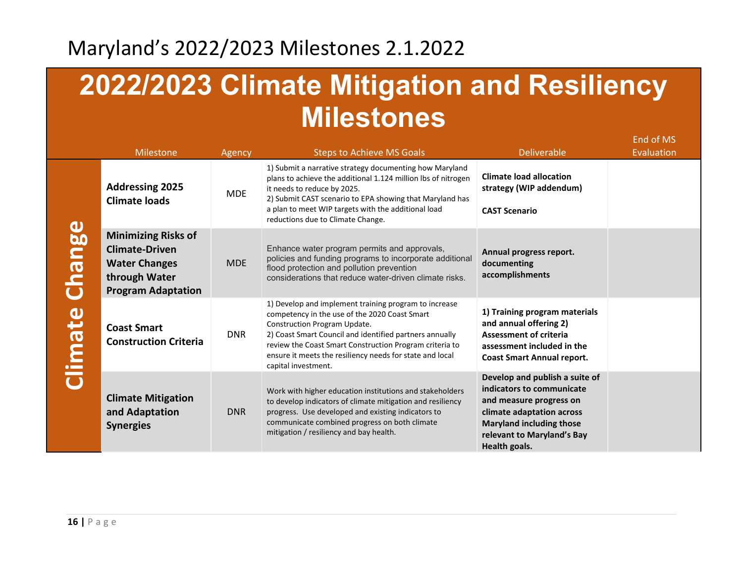# **2022/2023 Climate Mitigation and Resiliency Milestones**

|                                | <b>Milestone</b>                                                                                                          | Agency     | <b>Steps to Achieve MS Goals</b>                                                                                                                                                                                                                                                                                                                | <b>Deliverable</b>                                                                                                                                                                                    | End of MS<br>Evaluation |
|--------------------------------|---------------------------------------------------------------------------------------------------------------------------|------------|-------------------------------------------------------------------------------------------------------------------------------------------------------------------------------------------------------------------------------------------------------------------------------------------------------------------------------------------------|-------------------------------------------------------------------------------------------------------------------------------------------------------------------------------------------------------|-------------------------|
| <b>Sulprin</b><br><b>Signu</b> | <b>Addressing 2025</b><br><b>Climate loads</b>                                                                            | <b>MDE</b> | 1) Submit a narrative strategy documenting how Maryland<br>plans to achieve the additional 1.124 million lbs of nitrogen<br>it needs to reduce by 2025.<br>2) Submit CAST scenario to EPA showing that Maryland has<br>a plan to meet WIP targets with the additional load<br>reductions due to Climate Change.                                 | <b>Climate load allocation</b><br>strategy (WIP addendum)<br><b>CAST Scenario</b>                                                                                                                     |                         |
|                                | <b>Minimizing Risks of</b><br><b>Climate-Driven</b><br><b>Water Changes</b><br>through Water<br><b>Program Adaptation</b> | <b>MDE</b> | Enhance water program permits and approvals,<br>policies and funding programs to incorporate additional<br>flood protection and pollution prevention<br>considerations that reduce water-driven climate risks.                                                                                                                                  | Annual progress report.<br>documenting<br>accomplishments                                                                                                                                             |                         |
|                                | <b>Coast Smart</b><br><b>Construction Criteria</b>                                                                        | <b>DNR</b> | 1) Develop and implement training program to increase<br>competency in the use of the 2020 Coast Smart<br>Construction Program Update.<br>2) Coast Smart Council and identified partners annually<br>review the Coast Smart Construction Program criteria to<br>ensure it meets the resiliency needs for state and local<br>capital investment. | 1) Training program materials<br>and annual offering 2)<br><b>Assessment of criteria</b><br>assessment included in the<br><b>Coast Smart Annual report.</b>                                           |                         |
|                                | <b>Climate Mitigation</b><br>and Adaptation<br><b>Synergies</b>                                                           | <b>DNR</b> | Work with higher education institutions and stakeholders<br>to develop indicators of climate mitigation and resiliency<br>progress. Use developed and existing indicators to<br>communicate combined progress on both climate<br>mitigation / resiliency and bay health.                                                                        | Develop and publish a suite of<br>indicators to communicate<br>and measure progress on<br>climate adaptation across<br><b>Maryland including those</b><br>relevant to Maryland's Bay<br>Health goals. |                         |

**Climate Change**  $\frac{1}{l}$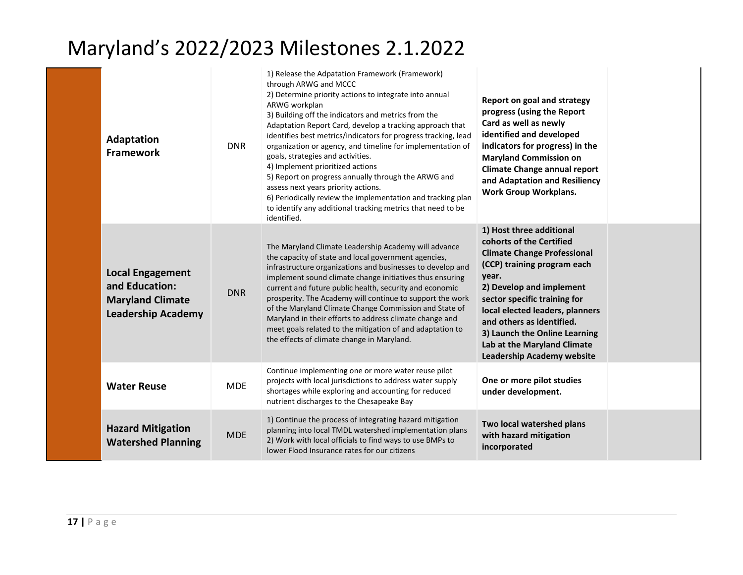| <b>Adaptation</b><br><b>Framework</b>                                                             | <b>DNR</b> | 1) Release the Adpatation Framework (Framework)<br>through ARWG and MCCC<br>2) Determine priority actions to integrate into annual<br>ARWG workplan<br>3) Building off the indicators and metrics from the<br>Adaptation Report Card, develop a tracking approach that<br>identifies best metrics/indicators for progress tracking, lead<br>organization or agency, and timeline for implementation of<br>goals, strategies and activities.<br>4) Implement prioritized actions<br>5) Report on progress annually through the ARWG and<br>assess next years priority actions.<br>6) Periodically review the implementation and tracking plan<br>to identify any additional tracking metrics that need to be<br>identified. | Report on goal and strategy<br>progress (using the Report<br>Card as well as newly<br>identified and developed<br>indicators for progress) in the<br><b>Maryland Commission on</b><br><b>Climate Change annual report</b><br>and Adaptation and Resiliency<br><b>Work Group Workplans.</b>                                                                          |  |
|---------------------------------------------------------------------------------------------------|------------|----------------------------------------------------------------------------------------------------------------------------------------------------------------------------------------------------------------------------------------------------------------------------------------------------------------------------------------------------------------------------------------------------------------------------------------------------------------------------------------------------------------------------------------------------------------------------------------------------------------------------------------------------------------------------------------------------------------------------|---------------------------------------------------------------------------------------------------------------------------------------------------------------------------------------------------------------------------------------------------------------------------------------------------------------------------------------------------------------------|--|
| <b>Local Engagement</b><br>and Education:<br><b>Maryland Climate</b><br><b>Leadership Academy</b> | <b>DNR</b> | The Maryland Climate Leadership Academy will advance<br>the capacity of state and local government agencies,<br>infrastructure organizations and businesses to develop and<br>implement sound climate change initiatives thus ensuring<br>current and future public health, security and economic<br>prosperity. The Academy will continue to support the work<br>of the Maryland Climate Change Commission and State of<br>Maryland in their efforts to address climate change and<br>meet goals related to the mitigation of and adaptation to<br>the effects of climate change in Maryland.                                                                                                                             | 1) Host three additional<br>cohorts of the Certified<br><b>Climate Change Professional</b><br>(CCP) training program each<br>year.<br>2) Develop and implement<br>sector specific training for<br>local elected leaders, planners<br>and others as identified.<br>3) Launch the Online Learning<br>Lab at the Maryland Climate<br><b>Leadership Academy website</b> |  |
| <b>Water Reuse</b>                                                                                | <b>MDE</b> | Continue implementing one or more water reuse pilot<br>projects with local jurisdictions to address water supply<br>shortages while exploring and accounting for reduced<br>nutrient discharges to the Chesapeake Bay                                                                                                                                                                                                                                                                                                                                                                                                                                                                                                      | One or more pilot studies<br>under development.                                                                                                                                                                                                                                                                                                                     |  |
| <b>Hazard Mitigation</b><br><b>Watershed Planning</b>                                             | <b>MDE</b> | 1) Continue the process of integrating hazard mitigation<br>planning into local TMDL watershed implementation plans<br>2) Work with local officials to find ways to use BMPs to<br>lower Flood Insurance rates for our citizens                                                                                                                                                                                                                                                                                                                                                                                                                                                                                            | Two local watershed plans<br>with hazard mitigation<br>incorporated                                                                                                                                                                                                                                                                                                 |  |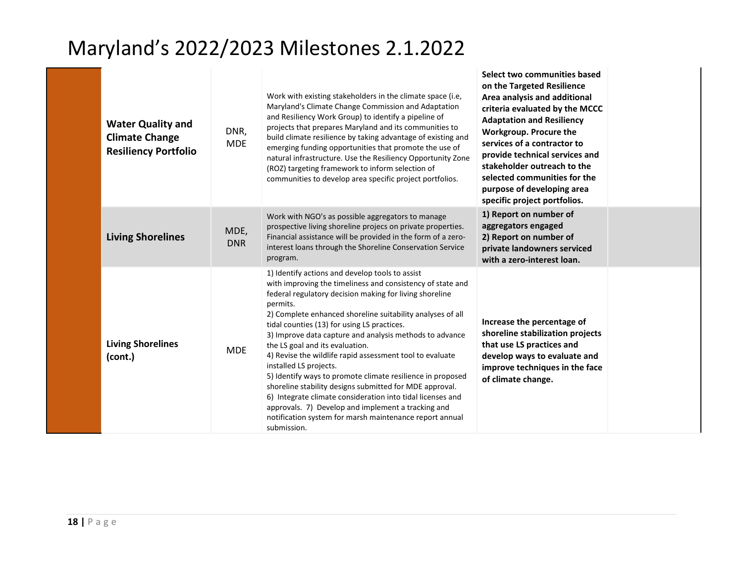| <b>Water Quality and</b><br><b>Climate Change</b><br><b>Resiliency Portfolio</b> | DNR,<br><b>MDE</b> | Work with existing stakeholders in the climate space (i.e.<br>Maryland's Climate Change Commission and Adaptation<br>and Resiliency Work Group) to identify a pipeline of<br>projects that prepares Maryland and its communities to<br>build climate resilience by taking advantage of existing and<br>emerging funding opportunities that promote the use of<br>natural infrastructure. Use the Resiliency Opportunity Zone<br>(ROZ) targeting framework to inform selection of<br>communities to develop area specific project portfolios.                                                                                                                                                                                                                                                                 | Select two communities based<br>on the Targeted Resilience<br>Area analysis and additional<br>criteria evaluated by the MCCC<br><b>Adaptation and Resiliency</b><br>Workgroup. Procure the<br>services of a contractor to<br>provide technical services and<br>stakeholder outreach to the<br>selected communities for the<br>purpose of developing area<br>specific project portfolios. |  |
|----------------------------------------------------------------------------------|--------------------|--------------------------------------------------------------------------------------------------------------------------------------------------------------------------------------------------------------------------------------------------------------------------------------------------------------------------------------------------------------------------------------------------------------------------------------------------------------------------------------------------------------------------------------------------------------------------------------------------------------------------------------------------------------------------------------------------------------------------------------------------------------------------------------------------------------|------------------------------------------------------------------------------------------------------------------------------------------------------------------------------------------------------------------------------------------------------------------------------------------------------------------------------------------------------------------------------------------|--|
| <b>Living Shorelines</b>                                                         | MDE,<br><b>DNR</b> | Work with NGO's as possible aggregators to manage<br>prospective living shoreline projecs on private properties.<br>Financial assistance will be provided in the form of a zero-<br>interest loans through the Shoreline Conservation Service<br>program.                                                                                                                                                                                                                                                                                                                                                                                                                                                                                                                                                    | 1) Report on number of<br>aggregators engaged<br>2) Report on number of<br>private landowners serviced<br>with a zero-interest loan.                                                                                                                                                                                                                                                     |  |
| <b>Living Shorelines</b><br>(cont.)                                              | <b>MDE</b>         | 1) Identify actions and develop tools to assist<br>with improving the timeliness and consistency of state and<br>federal regulatory decision making for living shoreline<br>permits.<br>2) Complete enhanced shoreline suitability analyses of all<br>tidal counties (13) for using LS practices.<br>3) Improve data capture and analysis methods to advance<br>the LS goal and its evaluation.<br>4) Revise the wildlife rapid assessment tool to evaluate<br>installed LS projects.<br>5) Identify ways to promote climate resilience in proposed<br>shoreline stability designs submitted for MDE approval.<br>6) Integrate climate consideration into tidal licenses and<br>approvals. 7) Develop and implement a tracking and<br>notification system for marsh maintenance report annual<br>submission. | Increase the percentage of<br>shoreline stabilization projects<br>that use LS practices and<br>develop ways to evaluate and<br>improve techniques in the face<br>of climate change.                                                                                                                                                                                                      |  |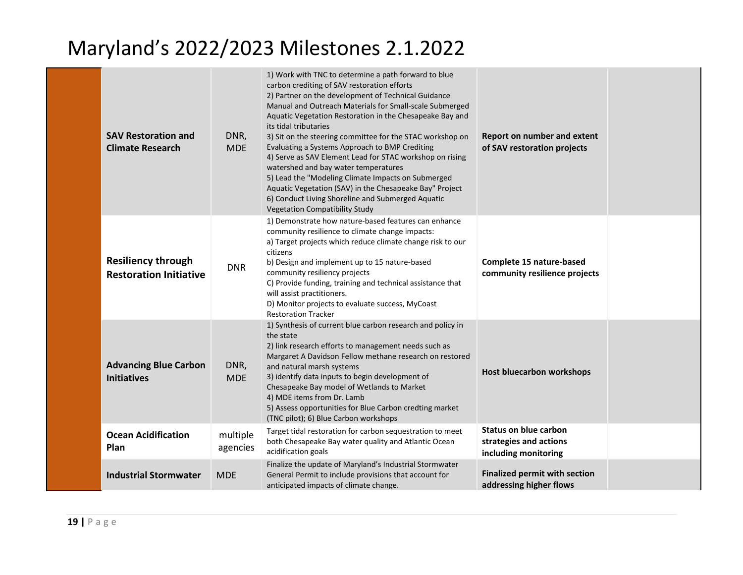| <b>SAV Restoration and</b><br><b>Climate Research</b>      | DNR,<br><b>MDE</b>   | 1) Work with TNC to determine a path forward to blue<br>carbon crediting of SAV restoration efforts<br>2) Partner on the development of Technical Guidance<br>Manual and Outreach Materials for Small-scale Submerged<br>Aquatic Vegetation Restoration in the Chesapeake Bay and<br>its tidal tributaries<br>3) Sit on the steering committee for the STAC workshop on<br>Evaluating a Systems Approach to BMP Crediting<br>4) Serve as SAV Element Lead for STAC workshop on rising<br>watershed and bay water temperatures<br>5) Lead the "Modeling Climate Impacts on Submerged<br>Aquatic Vegetation (SAV) in the Chesapeake Bay" Project<br>6) Conduct Living Shoreline and Submerged Aquatic<br><b>Vegetation Compatibility Study</b> | Report on number and extent<br>of SAV restoration projects                     |  |
|------------------------------------------------------------|----------------------|----------------------------------------------------------------------------------------------------------------------------------------------------------------------------------------------------------------------------------------------------------------------------------------------------------------------------------------------------------------------------------------------------------------------------------------------------------------------------------------------------------------------------------------------------------------------------------------------------------------------------------------------------------------------------------------------------------------------------------------------|--------------------------------------------------------------------------------|--|
| <b>Resiliency through</b><br><b>Restoration Initiative</b> | <b>DNR</b>           | 1) Demonstrate how nature-based features can enhance<br>community resilience to climate change impacts:<br>a) Target projects which reduce climate change risk to our<br>citizens<br>b) Design and implement up to 15 nature-based<br>community resiliency projects<br>C) Provide funding, training and technical assistance that<br>will assist practitioners.<br>D) Monitor projects to evaluate success, MyCoast<br><b>Restoration Tracker</b>                                                                                                                                                                                                                                                                                            | Complete 15 nature-based<br>community resilience projects                      |  |
| <b>Advancing Blue Carbon</b><br><b>Initiatives</b>         | DNR,<br><b>MDE</b>   | 1) Synthesis of current blue carbon research and policy in<br>the state<br>2) link research efforts to management needs such as<br>Margaret A Davidson Fellow methane research on restored<br>and natural marsh systems<br>3) identify data inputs to begin development of<br>Chesapeake Bay model of Wetlands to Market<br>4) MDE items from Dr. Lamb<br>5) Assess opportunities for Blue Carbon credting market<br>(TNC pilot); 6) Blue Carbon workshops                                                                                                                                                                                                                                                                                   | <b>Host bluecarbon workshops</b>                                               |  |
| <b>Ocean Acidification</b><br>Plan                         | multiple<br>agencies | Target tidal restoration for carbon sequestration to meet<br>both Chesapeake Bay water quality and Atlantic Ocean<br>acidification goals                                                                                                                                                                                                                                                                                                                                                                                                                                                                                                                                                                                                     | <b>Status on blue carbon</b><br>strategies and actions<br>including monitoring |  |
| <b>Industrial Stormwater</b>                               | <b>MDE</b>           | Finalize the update of Maryland's Industrial Stormwater<br>General Permit to include provisions that account for<br>anticipated impacts of climate change.                                                                                                                                                                                                                                                                                                                                                                                                                                                                                                                                                                                   | <b>Finalized permit with section</b><br>addressing higher flows                |  |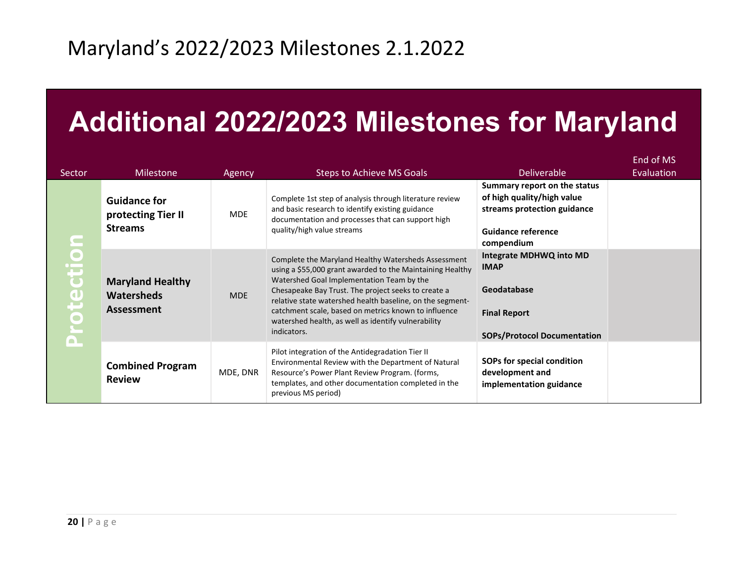# **Additional 2022/2023 Milestones for Maryland**

| Sector    | <b>Milestone</b>                                                  | Agency     | Steps to Achieve MS Goals                                                                                                                                                                                                                                                                                                                                                                                       | <b>Deliverable</b>                                                                                                                   | End of MS<br>Evaluation |
|-----------|-------------------------------------------------------------------|------------|-----------------------------------------------------------------------------------------------------------------------------------------------------------------------------------------------------------------------------------------------------------------------------------------------------------------------------------------------------------------------------------------------------------------|--------------------------------------------------------------------------------------------------------------------------------------|-------------------------|
|           | <b>Guidance for</b><br>protecting Tier II<br><b>Streams</b>       | <b>MDE</b> | Complete 1st step of analysis through literature review<br>and basic research to identify existing guidance<br>documentation and processes that can support high<br>quality/high value streams                                                                                                                                                                                                                  | Summary report on the status<br>of high quality/high value<br>streams protection guidance<br><b>Guidance reference</b><br>compendium |                         |
| Protectio | <b>Maryland Healthy</b><br><b>Watersheds</b><br><b>Assessment</b> | <b>MDE</b> | Complete the Maryland Healthy Watersheds Assessment<br>using a \$55,000 grant awarded to the Maintaining Healthy<br>Watershed Goal Implementation Team by the<br>Chesapeake Bay Trust. The project seeks to create a<br>relative state watershed health baseline, on the segment-<br>catchment scale, based on metrics known to influence<br>watershed health, as well as identify vulnerability<br>indicators. | Integrate MDHWQ into MD<br><b>IMAP</b><br>Geodatabase<br><b>Final Report</b><br><b>SOPs/Protocol Documentation</b>                   |                         |
|           | <b>Combined Program</b><br><b>Review</b>                          | MDE, DNR   | Pilot integration of the Antidegradation Tier II<br>Environmental Review with the Department of Natural<br>Resource's Power Plant Review Program. (forms,<br>templates, and other documentation completed in the<br>previous MS period)                                                                                                                                                                         | SOPs for special condition<br>development and<br>implementation guidance                                                             |                         |